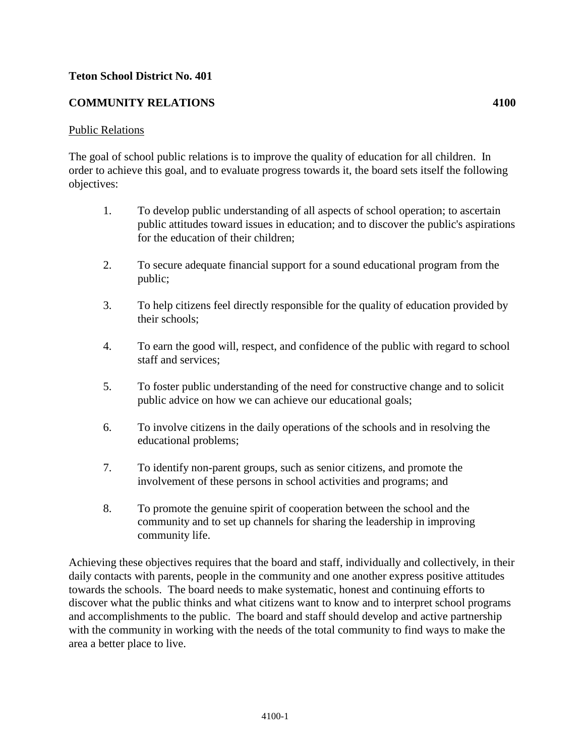## **Teton School District No. 401**

## **COMMUNITY RELATIONS 4100**

## Public Relations

The goal of school public relations is to improve the quality of education for all children. In order to achieve this goal, and to evaluate progress towards it, the board sets itself the following objectives:

- 1. To develop public understanding of all aspects of school operation; to ascertain public attitudes toward issues in education; and to discover the public's aspirations for the education of their children;
- 2. To secure adequate financial support for a sound educational program from the public;
- 3. To help citizens feel directly responsible for the quality of education provided by their schools;
- 4. To earn the good will, respect, and confidence of the public with regard to school staff and services;
- 5. To foster public understanding of the need for constructive change and to solicit public advice on how we can achieve our educational goals;
- 6. To involve citizens in the daily operations of the schools and in resolving the educational problems;
- 7. To identify non-parent groups, such as senior citizens, and promote the involvement of these persons in school activities and programs; and
- 8. To promote the genuine spirit of cooperation between the school and the community and to set up channels for sharing the leadership in improving community life.

Achieving these objectives requires that the board and staff, individually and collectively, in their daily contacts with parents, people in the community and one another express positive attitudes towards the schools. The board needs to make systematic, honest and continuing efforts to discover what the public thinks and what citizens want to know and to interpret school programs and accomplishments to the public. The board and staff should develop and active partnership with the community in working with the needs of the total community to find ways to make the area a better place to live.